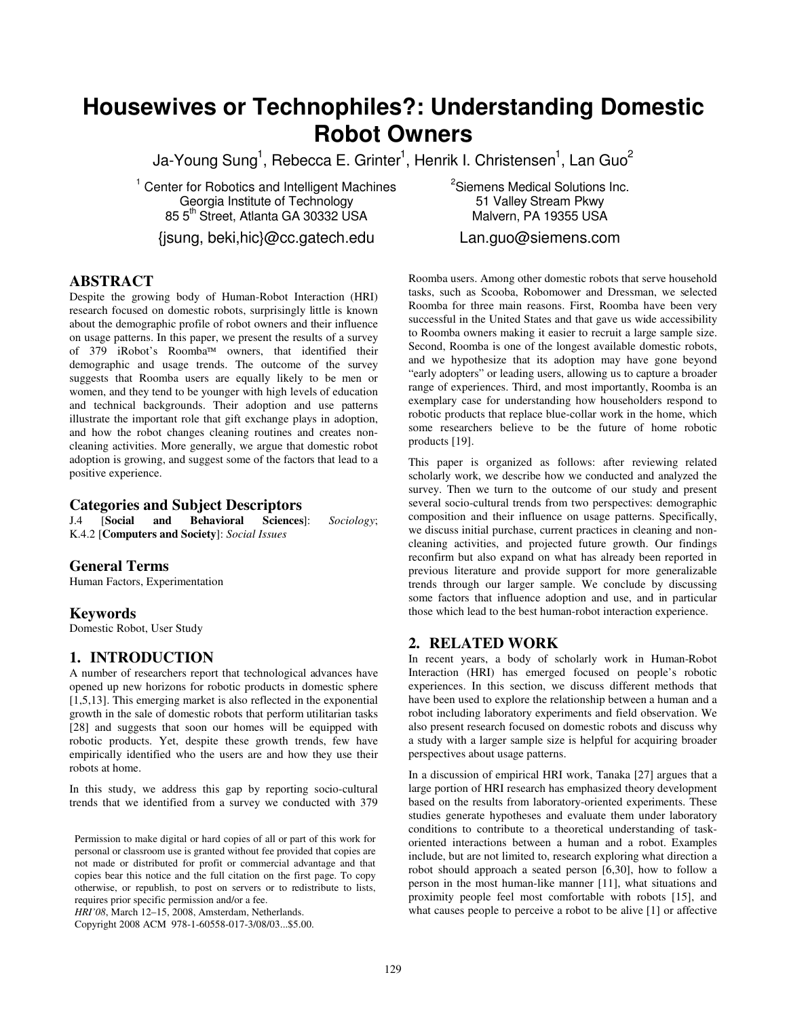# **Housewives or Technophiles?: Understanding Domestic Robot Owners**

Ja-Young Sung<sup>1</sup>, Rebecca E. Grinter<sup>1</sup>, Henrik I. Christensen<sup>1</sup>, Lan Guo<sup>2</sup>

<sup>1</sup> Center for Robotics and Intelligent Machines Georgia Institute of Technology 85 5<sup>th</sup> Street, Atlanta GA 30332 USA

{jsung, beki,hic}@cc.gatech.edu

<sup>2</sup>Siemens Medical Solutions Inc. 51 Valley Stream Pkwy Malvern, PA 19355 USA Lan.guo@siemens.com

## **ABSTRACT**

Despite the growing body of Human-Robot Interaction (HRI) research focused on domestic robots, surprisingly little is known about the demographic profile of robot owners and their influence on usage patterns. In this paper, we present the results of a survey of 379 iRobot's Roomba™ owners, that identified their demographic and usage trends. The outcome of the survey suggests that Roomba users are equally likely to be men or women, and they tend to be younger with high levels of education and technical backgrounds. Their adoption and use patterns illustrate the important role that gift exchange plays in adoption, and how the robot changes cleaning routines and creates noncleaning activities. More generally, we argue that domestic robot adoption is growing, and suggest some of the factors that lead to a positive experience.

# **Categories and Subject Descriptors**<br> **L4** [Social and Behavioral Sciences]:

J.4 [**Social and Behavioral Sciences**]: *Sociology*; K.4.2 [**Computers and Society**]: *Social Issues* 

### **General Terms**

Human Factors, Experimentation

#### **Keywords**

Domestic Robot, User Study

### **1. INTRODUCTION**

A number of researchers report that technological advances have opened up new horizons for robotic products in domestic sphere [1,5,13]. This emerging market is also reflected in the exponential growth in the sale of domestic robots that perform utilitarian tasks [28] and suggests that soon our homes will be equipped with robotic products. Yet, despite these growth trends, few have empirically identified who the users are and how they use their robots at home.

In this study, we address this gap by reporting socio-cultural trends that we identified from a survey we conducted with 379

Permission to make digital or hard copies of all or part of this work for personal or classroom use is granted without fee provided that copies are not made or distributed for profit or commercial advantage and that copies bear this notice and the full citation on the first page. To copy otherwise, or republish, to post on servers or to redistribute to lists, requires prior specific permission and/or a fee.

*HRI'08*, March 12–15, 2008, Amsterdam, Netherlands.

Copyright 2008 ACM 978-1-60558-017-3/08/03...\$5.00.

Roomba users. Among other domestic robots that serve household tasks, such as Scooba, Robomower and Dressman, we selected Roomba for three main reasons. First, Roomba have been very successful in the United States and that gave us wide accessibility to Roomba owners making it easier to recruit a large sample size. Second, Roomba is one of the longest available domestic robots, and we hypothesize that its adoption may have gone beyond "early adopters" or leading users, allowing us to capture a broader range of experiences. Third, and most importantly, Roomba is an exemplary case for understanding how householders respond to robotic products that replace blue-collar work in the home, which some researchers believe to be the future of home robotic products [19].

This paper is organized as follows: after reviewing related scholarly work, we describe how we conducted and analyzed the survey. Then we turn to the outcome of our study and present several socio-cultural trends from two perspectives: demographic composition and their influence on usage patterns. Specifically, we discuss initial purchase, current practices in cleaning and noncleaning activities, and projected future growth. Our findings reconfirm but also expand on what has already been reported in previous literature and provide support for more generalizable trends through our larger sample. We conclude by discussing some factors that influence adoption and use, and in particular those which lead to the best human-robot interaction experience.

### **2. RELATED WORK**

In recent years, a body of scholarly work in Human-Robot Interaction (HRI) has emerged focused on people's robotic experiences. In this section, we discuss different methods that have been used to explore the relationship between a human and a robot including laboratory experiments and field observation. We also present research focused on domestic robots and discuss why a study with a larger sample size is helpful for acquiring broader perspectives about usage patterns.

In a discussion of empirical HRI work, Tanaka [27] argues that a large portion of HRI research has emphasized theory development based on the results from laboratory-oriented experiments. These studies generate hypotheses and evaluate them under laboratory conditions to contribute to a theoretical understanding of taskoriented interactions between a human and a robot. Examples include, but are not limited to, research exploring what direction a robot should approach a seated person [6,30], how to follow a person in the most human-like manner [11], what situations and proximity people feel most comfortable with robots [15], and what causes people to perceive a robot to be alive [1] or affective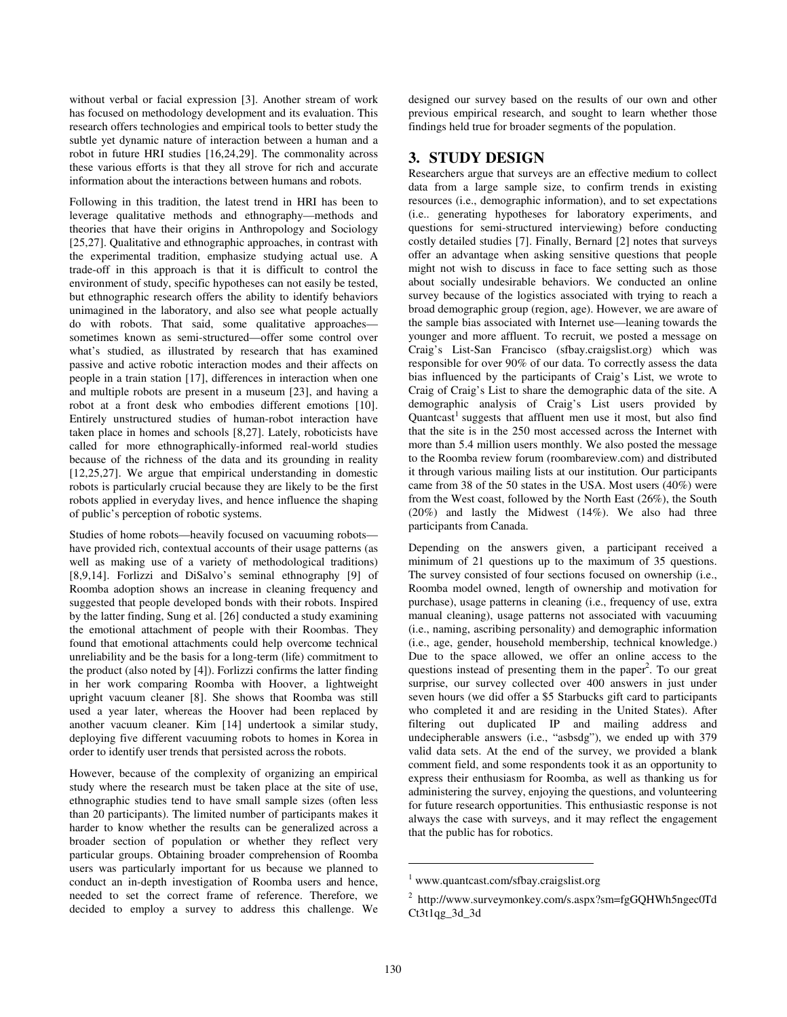without verbal or facial expression [3]. Another stream of work has focused on methodology development and its evaluation. This research offers technologies and empirical tools to better study the subtle yet dynamic nature of interaction between a human and a robot in future HRI studies [16,24,29]. The commonality across these various efforts is that they all strove for rich and accurate information about the interactions between humans and robots.

Following in this tradition, the latest trend in HRI has been to leverage qualitative methods and ethnography—methods and theories that have their origins in Anthropology and Sociology [25,27]. Qualitative and ethnographic approaches, in contrast with the experimental tradition, emphasize studying actual use. A trade-off in this approach is that it is difficult to control the environment of study, specific hypotheses can not easily be tested, but ethnographic research offers the ability to identify behaviors unimagined in the laboratory, and also see what people actually do with robots. That said, some qualitative approaches sometimes known as semi-structured—offer some control over what's studied, as illustrated by research that has examined passive and active robotic interaction modes and their affects on people in a train station [17], differences in interaction when one and multiple robots are present in a museum [23], and having a robot at a front desk who embodies different emotions [10]. Entirely unstructured studies of human-robot interaction have taken place in homes and schools [8,27]. Lately, roboticists have called for more ethnographically-informed real-world studies because of the richness of the data and its grounding in reality [12,25,27]. We argue that empirical understanding in domestic robots is particularly crucial because they are likely to be the first robots applied in everyday lives, and hence influence the shaping of public's perception of robotic systems.

Studies of home robots—heavily focused on vacuuming robots have provided rich, contextual accounts of their usage patterns (as well as making use of a variety of methodological traditions) [8,9,14]. Forlizzi and DiSalvo's seminal ethnography [9] of Roomba adoption shows an increase in cleaning frequency and suggested that people developed bonds with their robots. Inspired by the latter finding, Sung et al. [26] conducted a study examining the emotional attachment of people with their Roombas. They found that emotional attachments could help overcome technical unreliability and be the basis for a long-term (life) commitment to the product (also noted by [4]). Forlizzi confirms the latter finding in her work comparing Roomba with Hoover, a lightweight upright vacuum cleaner [8]. She shows that Roomba was still used a year later, whereas the Hoover had been replaced by another vacuum cleaner. Kim [14] undertook a similar study, deploying five different vacuuming robots to homes in Korea in order to identify user trends that persisted across the robots.

However, because of the complexity of organizing an empirical study where the research must be taken place at the site of use, ethnographic studies tend to have small sample sizes (often less than 20 participants). The limited number of participants makes it harder to know whether the results can be generalized across a broader section of population or whether they reflect very particular groups. Obtaining broader comprehension of Roomba users was particularly important for us because we planned to conduct an in-depth investigation of Roomba users and hence, needed to set the correct frame of reference. Therefore, we decided to employ a survey to address this challenge. We designed our survey based on the results of our own and other previous empirical research, and sought to learn whether those findings held true for broader segments of the population.

## **3. STUDY DESIGN**

Researchers argue that surveys are an effective medium to collect data from a large sample size, to confirm trends in existing resources (i.e., demographic information), and to set expectations (i.e.. generating hypotheses for laboratory experiments, and questions for semi-structured interviewing) before conducting costly detailed studies [7]. Finally, Bernard [2] notes that surveys offer an advantage when asking sensitive questions that people might not wish to discuss in face to face setting such as those about socially undesirable behaviors. We conducted an online survey because of the logistics associated with trying to reach a broad demographic group (region, age). However, we are aware of the sample bias associated with Internet use—leaning towards the younger and more affluent. To recruit, we posted a message on Craig's List-San Francisco (sfbay.craigslist.org) which was responsible for over 90% of our data. To correctly assess the data bias influenced by the participants of Craig's List, we wrote to Craig of Craig's List to share the demographic data of the site. A demographic analysis of Craig's List users provided by Quantcast<sup>1</sup> suggests that affluent men use it most, but also find that the site is in the 250 most accessed across the Internet with more than 5.4 million users monthly. We also posted the message to the Roomba review forum (roombareview.com) and distributed it through various mailing lists at our institution. Our participants came from 38 of the 50 states in the USA. Most users (40%) were from the West coast, followed by the North East (26%), the South (20%) and lastly the Midwest (14%). We also had three participants from Canada.

Depending on the answers given, a participant received a minimum of 21 questions up to the maximum of 35 questions. The survey consisted of four sections focused on ownership (i.e., Roomba model owned, length of ownership and motivation for purchase), usage patterns in cleaning (i.e., frequency of use, extra manual cleaning), usage patterns not associated with vacuuming (i.e., naming, ascribing personality) and demographic information (i.e., age, gender, household membership, technical knowledge.) Due to the space allowed, we offer an online access to the questions instead of presenting them in the paper<sup>2</sup>. To our great surprise, our survey collected over 400 answers in just under seven hours (we did offer a \$5 Starbucks gift card to participants who completed it and are residing in the United States). After filtering out duplicated IP and mailing address and undecipherable answers (i.e., "asbsdg"), we ended up with 379 valid data sets. At the end of the survey, we provided a blank comment field, and some respondents took it as an opportunity to express their enthusiasm for Roomba, as well as thanking us for administering the survey, enjoying the questions, and volunteering for future research opportunities. This enthusiastic response is not always the case with surveys, and it may reflect the engagement that the public has for robotics.

1

<sup>1</sup> www.quantcast.com/sfbay.craigslist.org

<sup>2</sup> http://www.surveymonkey.com/s.aspx?sm=fgGQHWh5ngec0Td Ct3t1qg\_3d\_3d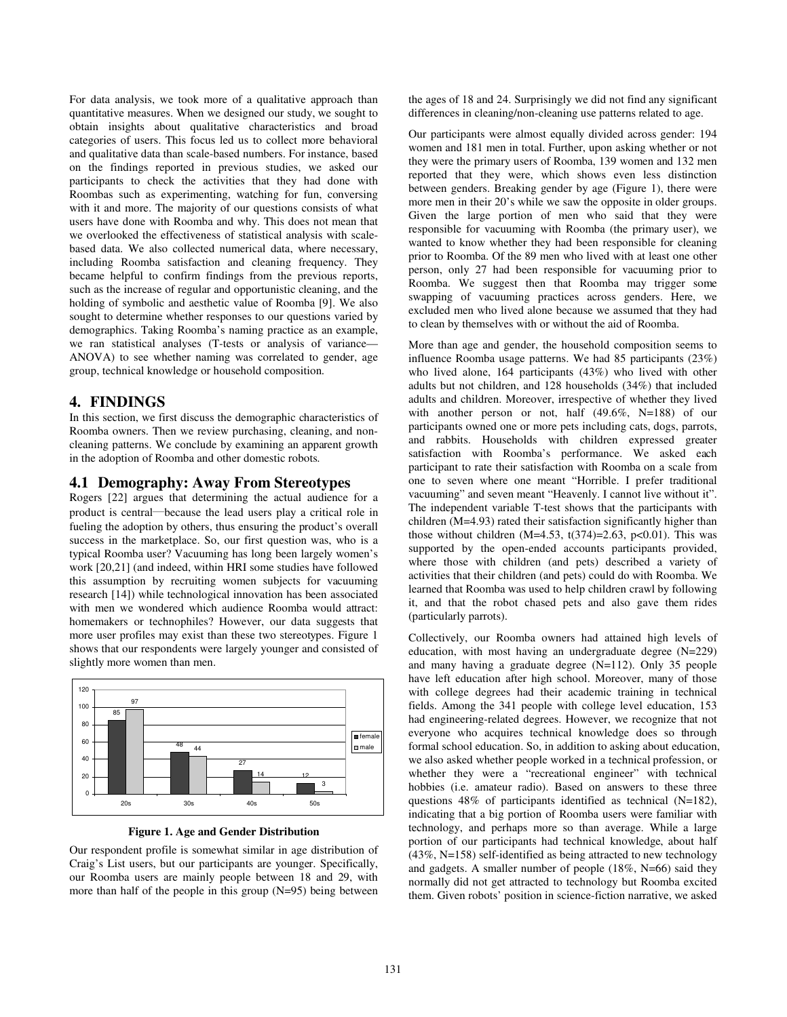For data analysis, we took more of a qualitative approach than quantitative measures. When we designed our study, we sought to obtain insights about qualitative characteristics and broad categories of users. This focus led us to collect more behavioral and qualitative data than scale-based numbers. For instance, based on the findings reported in previous studies, we asked our participants to check the activities that they had done with Roombas such as experimenting, watching for fun, conversing with it and more. The majority of our questions consists of what users have done with Roomba and why. This does not mean that we overlooked the effectiveness of statistical analysis with scalebased data. We also collected numerical data, where necessary, including Roomba satisfaction and cleaning frequency. They became helpful to confirm findings from the previous reports, such as the increase of regular and opportunistic cleaning, and the holding of symbolic and aesthetic value of Roomba [9]. We also sought to determine whether responses to our questions varied by demographics. Taking Roomba's naming practice as an example, we ran statistical analyses (T-tests or analysis of variance— ANOVA) to see whether naming was correlated to gender, age group, technical knowledge or household composition.

#### **4. FINDINGS**

In this section, we first discuss the demographic characteristics of Roomba owners. Then we review purchasing, cleaning, and noncleaning patterns. We conclude by examining an apparent growth in the adoption of Roomba and other domestic robots.

#### **4.1 Demography: Away From Stereotypes**

Rogers [22] argues that determining the actual audience for a product is central—because the lead users play a critical role in fueling the adoption by others, thus ensuring the product's overall success in the marketplace. So, our first question was, who is a typical Roomba user? Vacuuming has long been largely women's work [20,21] (and indeed, within HRI some studies have followed this assumption by recruiting women subjects for vacuuming research [14]) while technological innovation has been associated with men we wondered which audience Roomba would attract: homemakers or technophiles? However, our data suggests that more user profiles may exist than these two stereotypes. Figure 1 shows that our respondents were largely younger and consisted of slightly more women than men.



**Figure 1. Age and Gender Distribution** 

Our respondent profile is somewhat similar in age distribution of Craig's List users, but our participants are younger. Specifically, our Roomba users are mainly people between 18 and 29, with more than half of the people in this group (N=95) being between

the ages of 18 and 24. Surprisingly we did not find any significant differences in cleaning/non-cleaning use patterns related to age.

Our participants were almost equally divided across gender: 194 women and 181 men in total. Further, upon asking whether or not they were the primary users of Roomba, 139 women and 132 men reported that they were, which shows even less distinction between genders. Breaking gender by age (Figure 1), there were more men in their 20's while we saw the opposite in older groups. Given the large portion of men who said that they were responsible for vacuuming with Roomba (the primary user), we wanted to know whether they had been responsible for cleaning prior to Roomba. Of the 89 men who lived with at least one other person, only 27 had been responsible for vacuuming prior to Roomba. We suggest then that Roomba may trigger some swapping of vacuuming practices across genders. Here, we excluded men who lived alone because we assumed that they had to clean by themselves with or without the aid of Roomba.

More than age and gender, the household composition seems to influence Roomba usage patterns. We had 85 participants (23%) who lived alone, 164 participants (43%) who lived with other adults but not children, and 128 households (34%) that included adults and children. Moreover, irrespective of whether they lived with another person or not, half (49.6%, N=188) of our participants owned one or more pets including cats, dogs, parrots, and rabbits. Households with children expressed greater satisfaction with Roomba's performance. We asked each participant to rate their satisfaction with Roomba on a scale from one to seven where one meant "Horrible. I prefer traditional vacuuming" and seven meant "Heavenly. I cannot live without it". The independent variable T-test shows that the participants with children (M=4.93) rated their satisfaction significantly higher than those without children  $(M=4.53, t(374)=2.63, p<0.01)$ . This was supported by the open-ended accounts participants provided, where those with children (and pets) described a variety of activities that their children (and pets) could do with Roomba. We learned that Roomba was used to help children crawl by following it, and that the robot chased pets and also gave them rides (particularly parrots).

Collectively, our Roomba owners had attained high levels of education, with most having an undergraduate degree (N=229) and many having a graduate degree (N=112). Only 35 people have left education after high school. Moreover, many of those with college degrees had their academic training in technical fields. Among the 341 people with college level education, 153 had engineering-related degrees. However, we recognize that not everyone who acquires technical knowledge does so through formal school education. So, in addition to asking about education, we also asked whether people worked in a technical profession, or whether they were a "recreational engineer" with technical hobbies (i.e. amateur radio). Based on answers to these three questions 48% of participants identified as technical (N=182), indicating that a big portion of Roomba users were familiar with technology, and perhaps more so than average. While a large portion of our participants had technical knowledge, about half (43%, N=158) self-identified as being attracted to new technology and gadgets. A smaller number of people (18%, N=66) said they normally did not get attracted to technology but Roomba excited them. Given robots' position in science-fiction narrative, we asked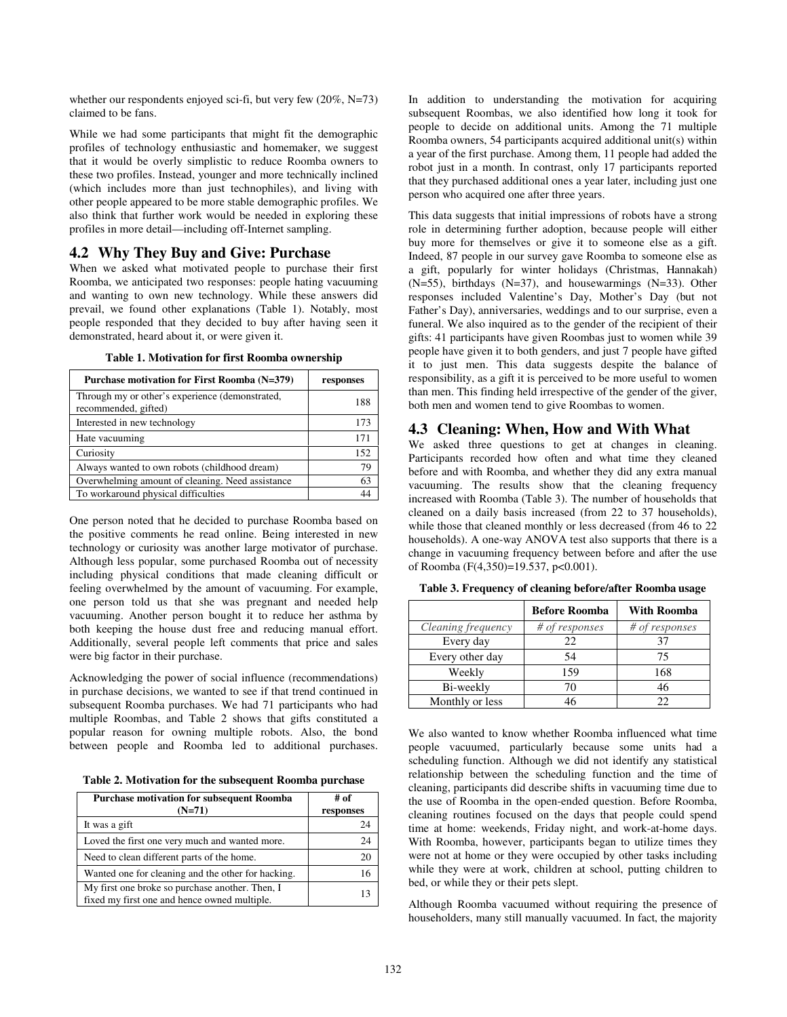whether our respondents enjoyed sci-fi, but very few (20%, N=73) claimed to be fans.

While we had some participants that might fit the demographic profiles of technology enthusiastic and homemaker, we suggest that it would be overly simplistic to reduce Roomba owners to these two profiles. Instead, younger and more technically inclined (which includes more than just technophiles), and living with other people appeared to be more stable demographic profiles. We also think that further work would be needed in exploring these profiles in more detail—including off-Internet sampling.

#### **4.2 Why They Buy and Give: Purchase**

When we asked what motivated people to purchase their first Roomba, we anticipated two responses: people hating vacuuming and wanting to own new technology. While these answers did prevail, we found other explanations (Table 1). Notably, most people responded that they decided to buy after having seen it demonstrated, heard about it, or were given it.

| Purchase motivation for First Roomba (N=379)                            | responses |  |
|-------------------------------------------------------------------------|-----------|--|
| Through my or other's experience (demonstrated,<br>recommended, gifted) | 188       |  |
| Interested in new technology                                            | 173       |  |
| Hate vacuuming                                                          | 171       |  |
| Curiosity                                                               | 152       |  |
| Always wanted to own robots (childhood dream)                           | 79        |  |
| Overwhelming amount of cleaning. Need assistance                        | 63        |  |
| To workaround physical difficulties                                     |           |  |

**Table 1. Motivation for first Roomba ownership** 

One person noted that he decided to purchase Roomba based on the positive comments he read online. Being interested in new technology or curiosity was another large motivator of purchase. Although less popular, some purchased Roomba out of necessity including physical conditions that made cleaning difficult or feeling overwhelmed by the amount of vacuuming. For example, one person told us that she was pregnant and needed help vacuuming. Another person bought it to reduce her asthma by both keeping the house dust free and reducing manual effort. Additionally, several people left comments that price and sales were big factor in their purchase.

Acknowledging the power of social influence (recommendations) in purchase decisions, we wanted to see if that trend continued in subsequent Roomba purchases. We had 71 participants who had multiple Roombas, and Table 2 shows that gifts constituted a popular reason for owning multiple robots. Also, the bond between people and Roomba led to additional purchases.

**Table 2. Motivation for the subsequent Roomba purchase** 

| <b>Purchase motivation for subsequent Roomba</b><br>$(N=71)$                                    | # of<br>responses |  |
|-------------------------------------------------------------------------------------------------|-------------------|--|
| It was a gift                                                                                   |                   |  |
| Loved the first one very much and wanted more.                                                  | 24                |  |
| Need to clean different parts of the home.                                                      | 20                |  |
| Wanted one for cleaning and the other for hacking.                                              | 16                |  |
| My first one broke so purchase another. Then, I<br>fixed my first one and hence owned multiple. |                   |  |

In addition to understanding the motivation for acquiring subsequent Roombas, we also identified how long it took for people to decide on additional units. Among the 71 multiple Roomba owners, 54 participants acquired additional unit(s) within a year of the first purchase. Among them, 11 people had added the robot just in a month. In contrast, only 17 participants reported that they purchased additional ones a year later, including just one person who acquired one after three years.

This data suggests that initial impressions of robots have a strong role in determining further adoption, because people will either buy more for themselves or give it to someone else as a gift. Indeed, 87 people in our survey gave Roomba to someone else as a gift, popularly for winter holidays (Christmas, Hannakah) (N=55), birthdays (N=37), and housewarmings (N=33). Other responses included Valentine's Day, Mother's Day (but not Father's Day), anniversaries, weddings and to our surprise, even a funeral. We also inquired as to the gender of the recipient of their gifts: 41 participants have given Roombas just to women while 39 people have given it to both genders, and just 7 people have gifted it to just men. This data suggests despite the balance of responsibility, as a gift it is perceived to be more useful to women than men. This finding held irrespective of the gender of the giver, both men and women tend to give Roombas to women.

### **4.3 Cleaning: When, How and With What**

We asked three questions to get at changes in cleaning. Participants recorded how often and what time they cleaned before and with Roomba, and whether they did any extra manual vacuuming. The results show that the cleaning frequency increased with Roomba (Table 3). The number of households that cleaned on a daily basis increased (from 22 to 37 households), while those that cleaned monthly or less decreased (from 46 to 22 households). A one-way ANOVA test also supports that there is a change in vacuuming frequency between before and after the use of Roomba (F(4,350)=19.537, p<0.001).

|                    | <b>Before Roomba</b> | <b>With Roomba</b> |  |
|--------------------|----------------------|--------------------|--|
| Cleaning frequency | # of responses       | # of responses     |  |
| Every day          |                      | 37                 |  |

Every other day  $\begin{array}{|c|c|c|c|c|} \hline 54 & 75 \\ \hline \end{array}$ Weekly 159 168 Bi-weekly 70 46<br>bothly or less 46 22

Monthly or less 16

**Table 3. Frequency of cleaning before/after Roomba usage** 

| We also wanted to know whether Roomba influenced what time          |
|---------------------------------------------------------------------|
| people vacuumed, particularly because some units had a              |
| scheduling function. Although we did not identify any statistical   |
| relationship between the scheduling function and the time of        |
| cleaning, participants did describe shifts in vacuuming time due to |
| the use of Roomba in the open-ended question. Before Roomba,        |
| cleaning routines focused on the days that people could spend       |
| time at home: weekends, Friday night, and work-at-home days.        |
| With Roomba, however, participants began to utilize times they      |
| were not at home or they were occupied by other tasks including     |
| while they were at work, children at school, putting children to    |
| bed, or while they or their pets slept.                             |

Although Roomba vacuumed without requiring the presence of householders, many still manually vacuumed. In fact, the majority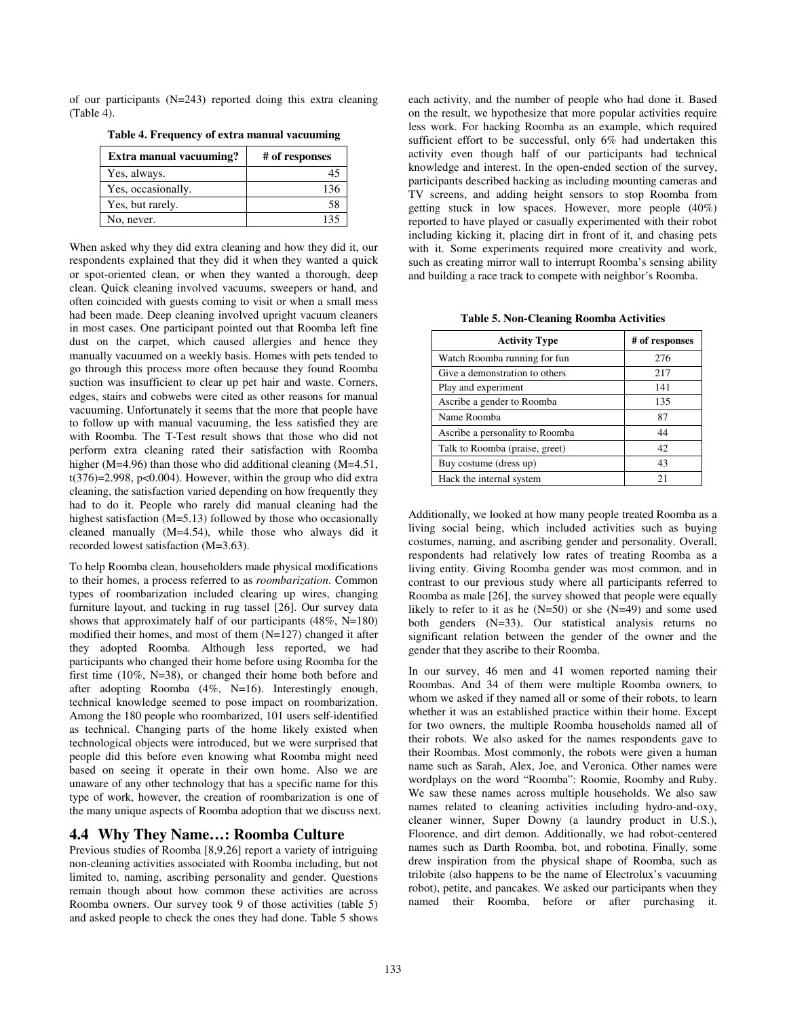of our participants (N=243) reported doing this extra cleaning (Table 4).

| Extra manual vacuuming? | # of responses |  |  |
|-------------------------|----------------|--|--|
| Yes, always.            | 45             |  |  |
| Yes, occasionally.      | 136            |  |  |
| Yes, but rarely.        | 58             |  |  |
| No, never.              | 135            |  |  |

**Table 4. Frequency of extra manual vacuuming** 

When asked why they did extra cleaning and how they did it, our respondents explained that they did it when they wanted a quick or spot-oriented clean, or when they wanted a thorough, deep clean. Quick cleaning involved vacuums, sweepers or hand, and often coincided with guests coming to visit or when a small mess had been made. Deep cleaning involved upright vacuum cleaners in most cases. One participant pointed out that Roomba left fine dust on the carpet, which caused allergies and hence they manually vacuumed on a weekly basis. Homes with pets tended to go through this process more often because they found Roomba suction was insufficient to clear up pet hair and waste. Corners, edges, stairs and cobwebs were cited as other reasons for manual vacuuming. Unfortunately it seems that the more that people have to follow up with manual vacuuming, the less satisfied they are with Roomba. The T-Test result shows that those who did not perform extra cleaning rated their satisfaction with Roomba higher (M=4.96) than those who did additional cleaning (M=4.51,  $t(376)=2.998$ ,  $p<0.004$ ). However, within the group who did extra cleaning, the satisfaction varied depending on how frequently they had to do it. People who rarely did manual cleaning had the highest satisfaction (M=5.13) followed by those who occasionally cleaned manually (M=4.54), while those who always did it recorded lowest satisfaction (M=3.63).

To help Roomba clean, householders made physical modifications to their homes, a process referred to as *roombarization*. Common types of roombarization included clearing up wires, changing furniture layout, and tucking in rug tassel [26]. Our survey data shows that approximately half of our participants (48%, N=180) modified their homes, and most of them (N=127) changed it after they adopted Roomba. Although less reported, we had participants who changed their home before using Roomba for the first time (10%, N=38), or changed their home both before and after adopting Roomba (4%, N=16). Interestingly enough, technical knowledge seemed to pose impact on roombarization. Among the 180 people who roombarized, 101 users self-identified as technical. Changing parts of the home likely existed when technological objects were introduced, but we were surprised that people did this before even knowing what Roomba might need based on seeing it operate in their own home. Also we are unaware of any other technology that has a specific name for this type of work, however, the creation of roombarization is one of the many unique aspects of Roomba adoption that we discuss next.

## **4.4 Why They Name…: Roomba Culture**

Previous studies of Roomba [8,9,26] report a variety of intriguing non-cleaning activities associated with Roomba including, but not limited to, naming, ascribing personality and gender. Questions remain though about how common these activities are across Roomba owners. Our survey took 9 of those activities (table 5) and asked people to check the ones they had done. Table 5 shows

each activity, and the number of people who had done it. Based on the result, we hypothesize that more popular activities require less work. For hacking Roomba as an example, which required sufficient effort to be successful, only 6% had undertaken this activity even though half of our participants had technical knowledge and interest. In the open-ended section of the survey, participants described hacking as including mounting cameras and TV screens, and adding height sensors to stop Roomba from getting stuck in low spaces. However, more people (40%) reported to have played or casually experimented with their robot including kicking it, placing dirt in front of it, and chasing pets with it. Some experiments required more creativity and work, such as creating mirror wall to interrupt Roomba's sensing ability and building a race track to compete with neighbor's Roomba.

**Table 5. Non-Cleaning Roomba Activities** 

| <b>Activity Type</b>            | # of responses |  |  |
|---------------------------------|----------------|--|--|
| Watch Roomba running for fun    | 276            |  |  |
| Give a demonstration to others  | 217            |  |  |
| Play and experiment             | 141            |  |  |
| Ascribe a gender to Roomba      | 135            |  |  |
| Name Roomba                     | 87             |  |  |
| Ascribe a personality to Roomba | 44             |  |  |
| Talk to Roomba (praise, greet)  | 42             |  |  |
| Buy costume (dress up)          | 43             |  |  |
| Hack the internal system        | 21             |  |  |

Additionally, we looked at how many people treated Roomba as a living social being, which included activities such as buying costumes, naming, and ascribing gender and personality. Overall, respondents had relatively low rates of treating Roomba as a living entity. Giving Roomba gender was most common, and in contrast to our previous study where all participants referred to Roomba as male [26], the survey showed that people were equally likely to refer to it as he  $(N=50)$  or she  $(N=49)$  and some used both genders (N=33). Our statistical analysis returns no significant relation between the gender of the owner and the gender that they ascribe to their Roomba.

In our survey, 46 men and 41 women reported naming their Roombas. And 34 of them were multiple Roomba owners, to whom we asked if they named all or some of their robots, to learn whether it was an established practice within their home. Except for two owners, the multiple Roomba households named all of their robots. We also asked for the names respondents gave to their Roombas. Most commonly, the robots were given a human name such as Sarah, Alex, Joe, and Veronica. Other names were wordplays on the word "Roomba": Roomie, Roomby and Ruby. We saw these names across multiple households. We also saw names related to cleaning activities including hydro-and-oxy, cleaner winner, Super Downy (a laundry product in U.S.), Floorence, and dirt demon. Additionally, we had robot-centered names such as Darth Roomba, bot, and robotina. Finally, some drew inspiration from the physical shape of Roomba, such as trilobite (also happens to be the name of Electrolux's vacuuming robot), petite, and pancakes. We asked our participants when they named their Roomba, before or after purchasing it.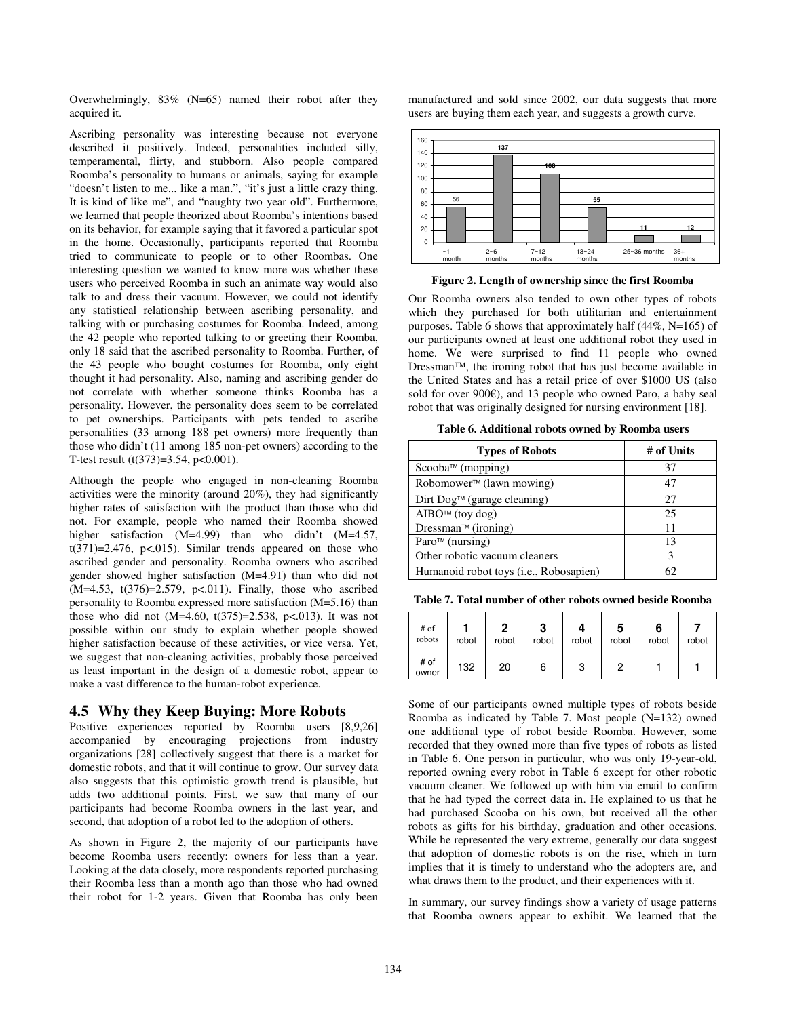Overwhelmingly, 83% (N=65) named their robot after they acquired it.

Ascribing personality was interesting because not everyone described it positively. Indeed, personalities included silly, temperamental, flirty, and stubborn. Also people compared Roomba's personality to humans or animals, saying for example "doesn't listen to me... like a man.", "it's just a little crazy thing. It is kind of like me", and "naughty two year old". Furthermore, we learned that people theorized about Roomba's intentions based on its behavior, for example saying that it favored a particular spot in the home. Occasionally, participants reported that Roomba tried to communicate to people or to other Roombas. One interesting question we wanted to know more was whether these users who perceived Roomba in such an animate way would also talk to and dress their vacuum. However, we could not identify any statistical relationship between ascribing personality, and talking with or purchasing costumes for Roomba. Indeed, among the 42 people who reported talking to or greeting their Roomba, only 18 said that the ascribed personality to Roomba. Further, of the 43 people who bought costumes for Roomba, only eight thought it had personality. Also, naming and ascribing gender do not correlate with whether someone thinks Roomba has a personality. However, the personality does seem to be correlated to pet ownerships. Participants with pets tended to ascribe personalities (33 among 188 pet owners) more frequently than those who didn't (11 among 185 non-pet owners) according to the T-test result  $(t(373)=3.54, p<0.001)$ .

Although the people who engaged in non-cleaning Roomba activities were the minority (around 20%), they had significantly higher rates of satisfaction with the product than those who did not. For example, people who named their Roomba showed higher satisfaction (M=4.99) than who didn't (M=4.57,  $t(371)=2.476$ ,  $p<.015$ ). Similar trends appeared on those who ascribed gender and personality. Roomba owners who ascribed gender showed higher satisfaction (M=4.91) than who did not  $(M=4.53, t(376)=2.579, p<.011)$ . Finally, those who ascribed personality to Roomba expressed more satisfaction (M=5.16) than those who did not  $(M=4.60, t(375)=2.538, p<0.13)$ . It was not possible within our study to explain whether people showed higher satisfaction because of these activities, or vice versa. Yet, we suggest that non-cleaning activities, probably those perceived as least important in the design of a domestic robot, appear to make a vast difference to the human-robot experience.

### **4.5 Why they Keep Buying: More Robots**

Positive experiences reported by Roomba users [8,9,26] accompanied by encouraging projections from industry organizations [28] collectively suggest that there is a market for domestic robots, and that it will continue to grow. Our survey data also suggests that this optimistic growth trend is plausible, but adds two additional points. First, we saw that many of our participants had become Roomba owners in the last year, and second, that adoption of a robot led to the adoption of others.

As shown in Figure 2, the majority of our participants have become Roomba users recently: owners for less than a year. Looking at the data closely, more respondents reported purchasing their Roomba less than a month ago than those who had owned their robot for 1-2 years. Given that Roomba has only been

manufactured and sold since 2002, our data suggests that more users are buying them each year, and suggests a growth curve.



**Figure 2. Length of ownership since the first Roomba** 

Our Roomba owners also tended to own other types of robots which they purchased for both utilitarian and entertainment purposes. Table 6 shows that approximately half (44%, N=165) of our participants owned at least one additional robot they used in home. We were surprised to find 11 people who owned Dressman™, the ironing robot that has just become available in the United States and has a retail price of over \$1000 US (also sold for over 900 $\epsilon$ ), and 13 people who owned Paro, a baby seal robot that was originally designed for nursing environment [18].

**Table 6. Additional robots owned by Roomba users** 

| <b>Types of Robots</b>                          | # of Units |
|-------------------------------------------------|------------|
| Scooba <sup>™</sup> (mopping)                   | 37         |
| Robomower™ (lawn mowing)                        | 47         |
| Dirt Dog™ (garage cleaning)                     | 27         |
| $AIBOTM$ (toy dog)                              | 25         |
| Dressman <sup>™</sup> (ironing)                 |            |
| Paro <sup>⊤M</sup> (nursing)                    | 13         |
| Other robotic vacuum cleaners                   | 3          |
| Humanoid robot toys ( <i>i.e.</i> , Robosapien) |            |

**Table 7. Total number of other robots owned beside Roomba** 

| # of<br>robots | robot | 0<br>robot | o<br>robot | robot | ა<br>robot | robot | robot |
|----------------|-------|------------|------------|-------|------------|-------|-------|
| # of<br>owner  | 132   | 20         | 6          | 3     | 2          |       |       |

Some of our participants owned multiple types of robots beside Roomba as indicated by Table 7. Most people (N=132) owned one additional type of robot beside Roomba. However, some recorded that they owned more than five types of robots as listed in Table 6. One person in particular, who was only 19-year-old, reported owning every robot in Table 6 except for other robotic vacuum cleaner. We followed up with him via email to confirm that he had typed the correct data in. He explained to us that he had purchased Scooba on his own, but received all the other robots as gifts for his birthday, graduation and other occasions. While he represented the very extreme, generally our data suggest that adoption of domestic robots is on the rise, which in turn implies that it is timely to understand who the adopters are, and what draws them to the product, and their experiences with it.

In summary, our survey findings show a variety of usage patterns that Roomba owners appear to exhibit. We learned that the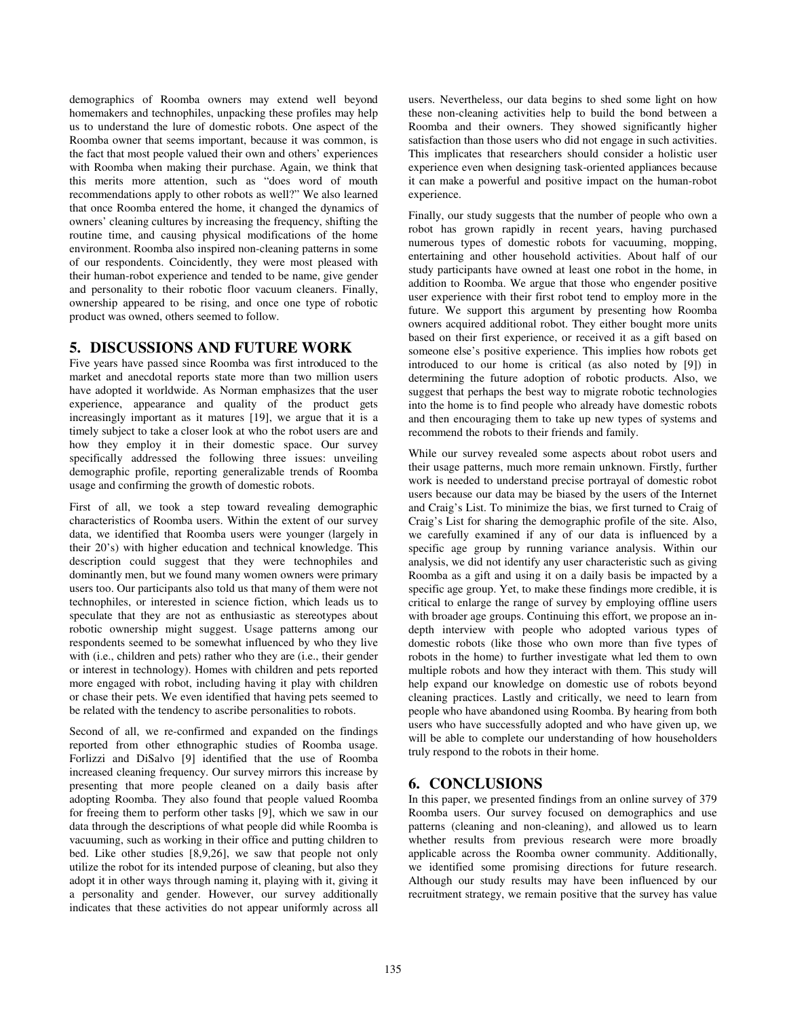demographics of Roomba owners may extend well beyond homemakers and technophiles, unpacking these profiles may help us to understand the lure of domestic robots. One aspect of the Roomba owner that seems important, because it was common, is the fact that most people valued their own and others' experiences with Roomba when making their purchase. Again, we think that this merits more attention, such as "does word of mouth recommendations apply to other robots as well?" We also learned that once Roomba entered the home, it changed the dynamics of owners' cleaning cultures by increasing the frequency, shifting the routine time, and causing physical modifications of the home environment. Roomba also inspired non-cleaning patterns in some of our respondents. Coincidently, they were most pleased with their human-robot experience and tended to be name, give gender and personality to their robotic floor vacuum cleaners. Finally, ownership appeared to be rising, and once one type of robotic product was owned, others seemed to follow.

### **5. DISCUSSIONS AND FUTURE WORK**

Five years have passed since Roomba was first introduced to the market and anecdotal reports state more than two million users have adopted it worldwide. As Norman emphasizes that the user experience, appearance and quality of the product gets increasingly important as it matures [19], we argue that it is a timely subject to take a closer look at who the robot users are and how they employ it in their domestic space. Our survey specifically addressed the following three issues: unveiling demographic profile, reporting generalizable trends of Roomba usage and confirming the growth of domestic robots.

First of all, we took a step toward revealing demographic characteristics of Roomba users. Within the extent of our survey data, we identified that Roomba users were younger (largely in their 20's) with higher education and technical knowledge. This description could suggest that they were technophiles and dominantly men, but we found many women owners were primary users too. Our participants also told us that many of them were not technophiles, or interested in science fiction, which leads us to speculate that they are not as enthusiastic as stereotypes about robotic ownership might suggest. Usage patterns among our respondents seemed to be somewhat influenced by who they live with (i.e., children and pets) rather who they are (i.e., their gender or interest in technology). Homes with children and pets reported more engaged with robot, including having it play with children or chase their pets. We even identified that having pets seemed to be related with the tendency to ascribe personalities to robots.

Second of all, we re-confirmed and expanded on the findings reported from other ethnographic studies of Roomba usage. Forlizzi and DiSalvo [9] identified that the use of Roomba increased cleaning frequency. Our survey mirrors this increase by presenting that more people cleaned on a daily basis after adopting Roomba. They also found that people valued Roomba for freeing them to perform other tasks [9], which we saw in our data through the descriptions of what people did while Roomba is vacuuming, such as working in their office and putting children to bed. Like other studies [8,9,26], we saw that people not only utilize the robot for its intended purpose of cleaning, but also they adopt it in other ways through naming it, playing with it, giving it a personality and gender. However, our survey additionally indicates that these activities do not appear uniformly across all

users. Nevertheless, our data begins to shed some light on how these non-cleaning activities help to build the bond between a Roomba and their owners. They showed significantly higher satisfaction than those users who did not engage in such activities. This implicates that researchers should consider a holistic user experience even when designing task-oriented appliances because it can make a powerful and positive impact on the human-robot experience.

Finally, our study suggests that the number of people who own a robot has grown rapidly in recent years, having purchased numerous types of domestic robots for vacuuming, mopping, entertaining and other household activities. About half of our study participants have owned at least one robot in the home, in addition to Roomba. We argue that those who engender positive user experience with their first robot tend to employ more in the future. We support this argument by presenting how Roomba owners acquired additional robot. They either bought more units based on their first experience, or received it as a gift based on someone else's positive experience. This implies how robots get introduced to our home is critical (as also noted by [9]) in determining the future adoption of robotic products. Also, we suggest that perhaps the best way to migrate robotic technologies into the home is to find people who already have domestic robots and then encouraging them to take up new types of systems and recommend the robots to their friends and family.

While our survey revealed some aspects about robot users and their usage patterns, much more remain unknown. Firstly, further work is needed to understand precise portrayal of domestic robot users because our data may be biased by the users of the Internet and Craig's List. To minimize the bias, we first turned to Craig of Craig's List for sharing the demographic profile of the site. Also, we carefully examined if any of our data is influenced by a specific age group by running variance analysis. Within our analysis, we did not identify any user characteristic such as giving Roomba as a gift and using it on a daily basis be impacted by a specific age group. Yet, to make these findings more credible, it is critical to enlarge the range of survey by employing offline users with broader age groups. Continuing this effort, we propose an indepth interview with people who adopted various types of domestic robots (like those who own more than five types of robots in the home) to further investigate what led them to own multiple robots and how they interact with them. This study will help expand our knowledge on domestic use of robots beyond cleaning practices. Lastly and critically, we need to learn from people who have abandoned using Roomba. By hearing from both users who have successfully adopted and who have given up, we will be able to complete our understanding of how householders truly respond to the robots in their home.

## **6. CONCLUSIONS**

In this paper, we presented findings from an online survey of 379 Roomba users. Our survey focused on demographics and use patterns (cleaning and non-cleaning), and allowed us to learn whether results from previous research were more broadly applicable across the Roomba owner community. Additionally, we identified some promising directions for future research. Although our study results may have been influenced by our recruitment strategy, we remain positive that the survey has value